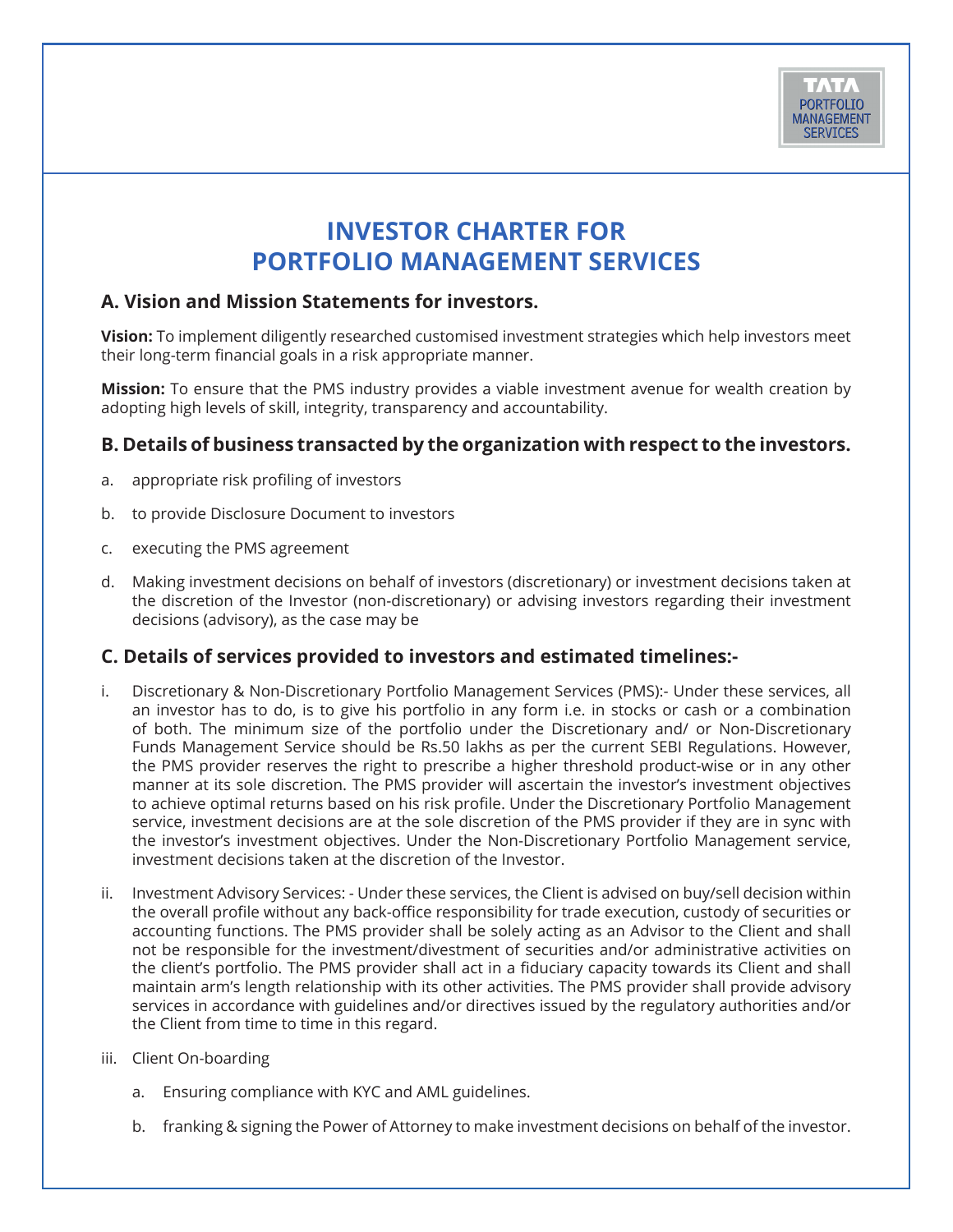

# **INVESTOR CHARTER FOR PORTFOLIO MANAGEMENT SERVICES**

## **A. Vision and Mission Statements for investors.**

**Vision:** To implement diligently researched customised investment strategies which help investors meet their long-term financial goals in a risk appropriate manner.

**Mission:** To ensure that the PMS industry provides a viable investment avenue for wealth creation by adopting high levels of skill, integrity, transparency and accountability.

## **B. Details of business transacted by the organization with respect to the investors.**

- a. appropriate risk profiling of investors
- b. to provide Disclosure Document to investors
- c. executing the PMS agreement
- d. Making investment decisions on behalf of investors (discretionary) or investment decisions taken at the discretion of the Investor (non-discretionary) or advising investors regarding their investment decisions (advisory), as the case may be

## **C. Details of services provided to investors and estimated timelines:-**

- i. Discretionary & Non-Discretionary Portfolio Management Services (PMS):- Under these services, all an investor has to do, is to give his portfolio in any form i.e. in stocks or cash or a combination of both. The minimum size of the portfolio under the Discretionary and/ or Non-Discretionary Funds Management Service should be Rs.50 lakhs as per the current SEBI Regulations. However, the PMS provider reserves the right to prescribe a higher threshold product-wise or in any other manner at its sole discretion. The PMS provider will ascertain the investor's investment objectives to achieve optimal returns based on his risk profile. Under the Discretionary Portfolio Management service, investment decisions are at the sole discretion of the PMS provider if they are in sync with the investor's investment objectives. Under the Non-Discretionary Portfolio Management service, investment decisions taken at the discretion of the Investor.
- ii. Investment Advisory Services: Under these services, the Client is advised on buy/sell decision within the overall profile without any back-office responsibility for trade execution, custody of securities or accounting functions. The PMS provider shall be solely acting as an Advisor to the Client and shall not be responsible for the investment/divestment of securities and/or administrative activities on the client's portfolio. The PMS provider shall act in a fiduciary capacity towards its Client and shall maintain arm's length relationship with its other activities. The PMS provider shall provide advisory services in accordance with guidelines and/or directives issued by the regulatory authorities and/or the Client from time to time in this regard.
- iii. Client On-boarding
	- a. Ensuring compliance with KYC and AML guidelines.
	- b. franking & signing the Power of Attorney to make investment decisions on behalf of the investor.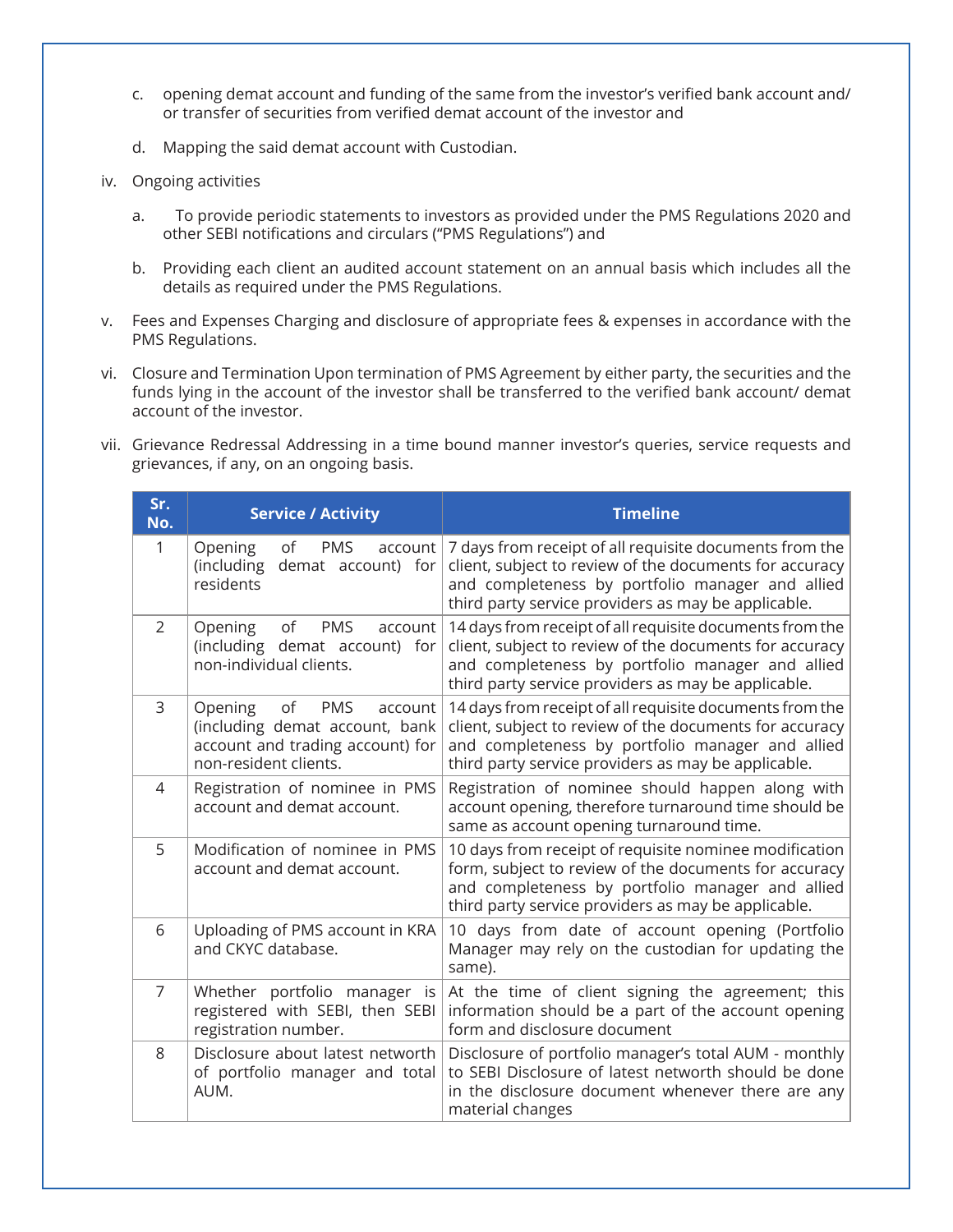- c. opening demat account and funding of the same from the investor's verified bank account and/ or transfer of securities from verified demat account of the investor and
- d. Mapping the said demat account with Custodian.
- iv. Ongoing activities
	- a. To provide periodic statements to investors as provided under the PMS Regulations 2020 and other SEBI notifications and circulars ("PMS Regulations") and
	- b. Providing each client an audited account statement on an annual basis which includes all the details as required under the PMS Regulations.
- v. Fees and Expenses Charging and disclosure of appropriate fees & expenses in accordance with the PMS Regulations.
- vi. Closure and Termination Upon termination of PMS Agreement by either party, the securities and the funds lying in the account of the investor shall be transferred to the verified bank account/ demat account of the investor.
- vii. Grievance Redressal Addressing in a time bound manner investor's queries, service requests and grievances, if any, on an ongoing basis.

| Sr.<br>No.     | <b>Service / Activity</b>                                                                                                             | <b>Timeline</b>                                                                                                                                                                                                                |
|----------------|---------------------------------------------------------------------------------------------------------------------------------------|--------------------------------------------------------------------------------------------------------------------------------------------------------------------------------------------------------------------------------|
| 1              | Opening<br>οf<br><b>PMS</b><br>account<br>(including<br>demat account) for<br>residents                                               | 7 days from receipt of all requisite documents from the<br>client, subject to review of the documents for accuracy<br>and completeness by portfolio manager and allied<br>third party service providers as may be applicable.  |
| $\mathcal{P}$  | <b>PMS</b><br>Opening<br>of<br>account<br>(including demat account) for<br>non-individual clients.                                    | 14 days from receipt of all requisite documents from the<br>client, subject to review of the documents for accuracy<br>and completeness by portfolio manager and allied<br>third party service providers as may be applicable. |
| 3              | Opening<br>of<br><b>PMS</b><br>account<br>(including demat account, bank<br>account and trading account) for<br>non-resident clients. | 14 days from receipt of all requisite documents from the<br>client, subject to review of the documents for accuracy<br>and completeness by portfolio manager and allied<br>third party service providers as may be applicable. |
| 4              | Registration of nominee in PMS<br>account and demat account.                                                                          | Registration of nominee should happen along with<br>account opening, therefore turnaround time should be<br>same as account opening turnaround time.                                                                           |
| 5              | Modification of nominee in PMS<br>account and demat account.                                                                          | 10 days from receipt of requisite nominee modification<br>form, subject to review of the documents for accuracy<br>and completeness by portfolio manager and allied<br>third party service providers as may be applicable.     |
| 6              | Uploading of PMS account in KRA<br>and CKYC database.                                                                                 | 10 days from date of account opening (Portfolio<br>Manager may rely on the custodian for updating the<br>same).                                                                                                                |
| $\overline{7}$ | Whether portfolio manager is<br>registered with SEBI, then SEBI<br>registration number.                                               | At the time of client signing the agreement; this<br>information should be a part of the account opening<br>form and disclosure document                                                                                       |
| 8              | Disclosure about latest networth<br>of portfolio manager and total<br>AUM.                                                            | Disclosure of portfolio manager's total AUM - monthly<br>to SEBI Disclosure of latest networth should be done<br>in the disclosure document whenever there are any<br>material changes                                         |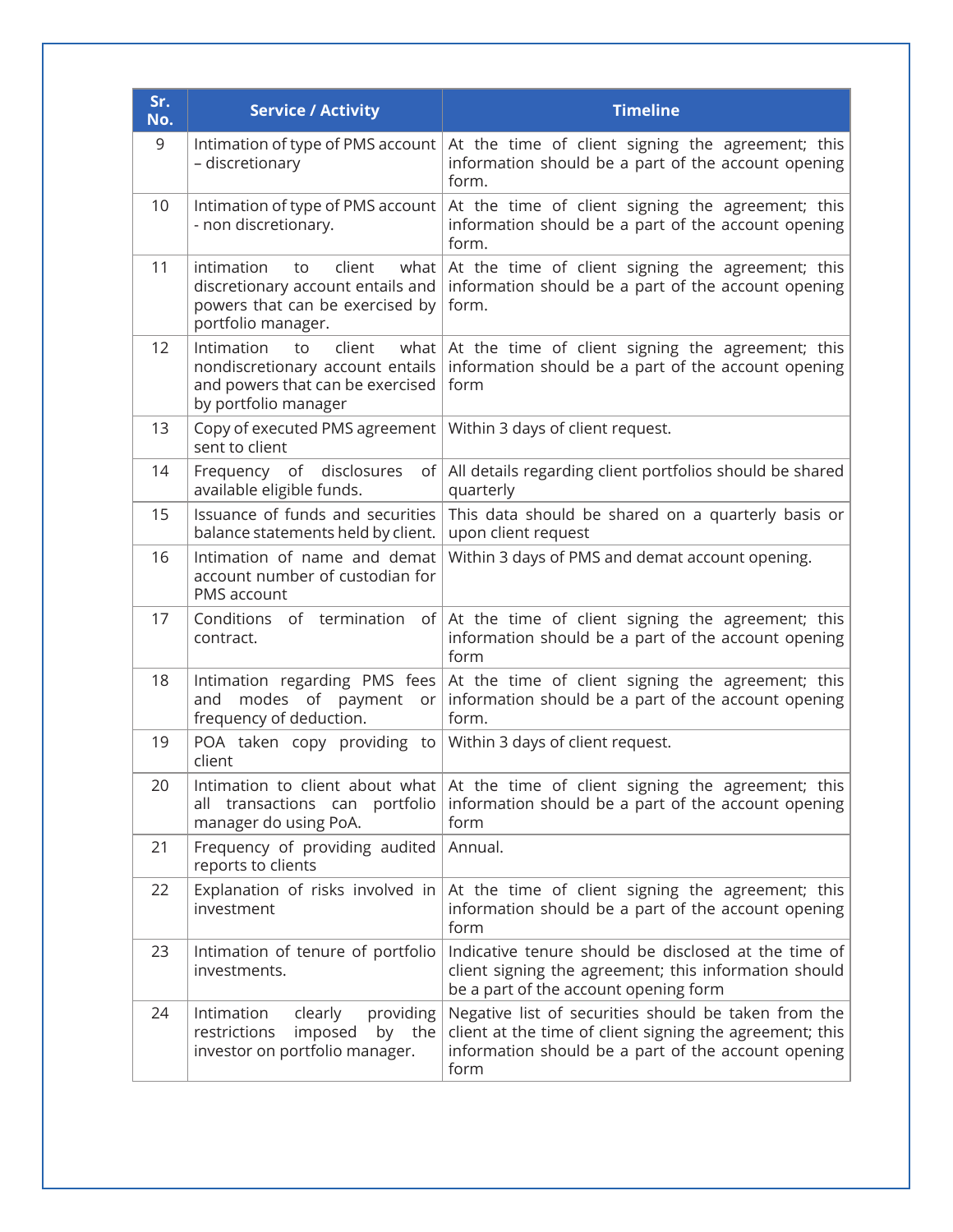| Sr.<br>No. | <b>Service / Activity</b>                                                                                                          | <b>Timeline</b>                                                                                                                                                                 |
|------------|------------------------------------------------------------------------------------------------------------------------------------|---------------------------------------------------------------------------------------------------------------------------------------------------------------------------------|
| 9          | Intimation of type of PMS account<br>- discretionary                                                                               | At the time of client signing the agreement; this<br>information should be a part of the account opening<br>form.                                                               |
| 10         | Intimation of type of PMS account<br>- non discretionary.                                                                          | At the time of client signing the agreement; this<br>information should be a part of the account opening<br>form.                                                               |
| 11         | intimation<br>client<br>what<br>to<br>discretionary account entails and<br>powers that can be exercised by<br>portfolio manager.   | At the time of client signing the agreement; this<br>information should be a part of the account opening<br>form.                                                               |
| 12         | Intimation<br>client<br>what<br>to<br>nondiscretionary account entails<br>and powers that can be exercised<br>by portfolio manager | At the time of client signing the agreement; this<br>information should be a part of the account opening<br>form                                                                |
| 13         | Copy of executed PMS agreement<br>sent to client                                                                                   | Within 3 days of client request.                                                                                                                                                |
| 14         | Frequency of disclosures<br>of<br>available eligible funds.                                                                        | All details regarding client portfolios should be shared<br>quarterly                                                                                                           |
| 15         | Issuance of funds and securities<br>balance statements held by client.                                                             | This data should be shared on a quarterly basis or<br>upon client request                                                                                                       |
| 16         | Intimation of name and demat<br>account number of custodian for<br>PMS account                                                     | Within 3 days of PMS and demat account opening.                                                                                                                                 |
| 17         | Conditions of termination<br>of  <br>contract.                                                                                     | At the time of client signing the agreement; this<br>information should be a part of the account opening<br>form                                                                |
| 18         | modes of payment<br>and<br>$or \mid$<br>frequency of deduction.                                                                    | Intimation regarding PMS fees At the time of client signing the agreement; this<br>information should be a part of the account opening<br>form.                                 |
| 19         | POA taken copy providing to<br>client                                                                                              | Within 3 days of client request.                                                                                                                                                |
| 20         | all transactions can portfolio<br>manager do using PoA.                                                                            | Intimation to client about what $\vert$ At the time of client signing the agreement; this<br>information should be a part of the account opening<br>form                        |
| 21         | Frequency of providing audited<br>reports to clients                                                                               | Annual.                                                                                                                                                                         |
| 22         | Explanation of risks involved in<br>investment                                                                                     | At the time of client signing the agreement; this<br>information should be a part of the account opening<br>form                                                                |
| 23         | Intimation of tenure of portfolio<br>investments.                                                                                  | Indicative tenure should be disclosed at the time of<br>client signing the agreement; this information should<br>be a part of the account opening form                          |
| 24         | Intimation<br>clearly<br>providing<br>restrictions<br>imposed<br>the<br>by<br>investor on portfolio manager.                       | Negative list of securities should be taken from the<br>client at the time of client signing the agreement; this<br>information should be a part of the account opening<br>form |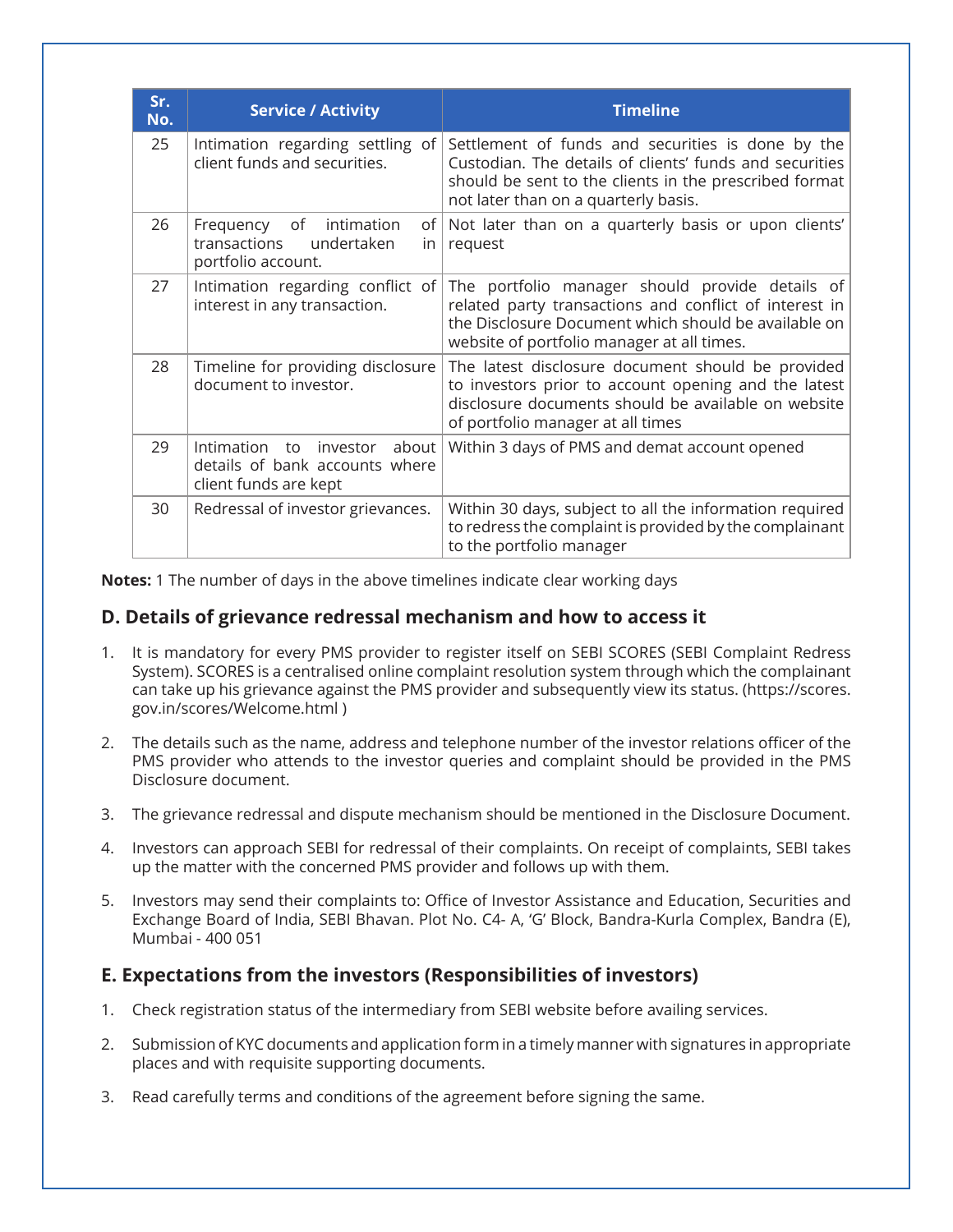| Sr.<br>No. | <b>Service / Activity</b>                                                                  | <b>Timeline</b>                                                                                                                                                                                                 |
|------------|--------------------------------------------------------------------------------------------|-----------------------------------------------------------------------------------------------------------------------------------------------------------------------------------------------------------------|
| 25         | Intimation regarding settling of<br>client funds and securities.                           | Settlement of funds and securities is done by the<br>Custodian. The details of clients' funds and securities<br>should be sent to the clients in the prescribed format<br>not later than on a quarterly basis.  |
| 26         | of<br>intimation<br>Frequency<br>transactions<br>undertaken<br>portfolio account.          | of Not later than on a quarterly basis or upon clients'<br>in $ $ request                                                                                                                                       |
| 27         | Intimation regarding conflict of<br>interest in any transaction.                           | The portfolio manager should provide details of<br>related party transactions and conflict of interest in<br>the Disclosure Document which should be available on<br>website of portfolio manager at all times. |
| 28         | Timeline for providing disclosure<br>document to investor.                                 | The latest disclosure document should be provided<br>to investors prior to account opening and the latest<br>disclosure documents should be available on website<br>of portfolio manager at all times           |
| 29         | investor about<br>Intimation to<br>details of bank accounts where<br>client funds are kept | Within 3 days of PMS and demat account opened                                                                                                                                                                   |
| 30         | Redressal of investor grievances.                                                          | Within 30 days, subject to all the information required<br>to redress the complaint is provided by the complainant<br>to the portfolio manager                                                                  |

**Notes:** 1 The number of days in the above timelines indicate clear working days

## **D. Details of grievance redressal mechanism and how to access it**

- 1. It is mandatory for every PMS provider to register itself on SEBI SCORES (SEBI Complaint Redress System). SCORES is a centralised online complaint resolution system through which the complainant can take up his grievance against the PMS provider and subsequently view its status. (https://scores. gov.in/scores/Welcome.html )
- 2. The details such as the name, address and telephone number of the investor relations officer of the PMS provider who attends to the investor queries and complaint should be provided in the PMS Disclosure document.
- 3. The grievance redressal and dispute mechanism should be mentioned in the Disclosure Document.
- 4. Investors can approach SEBI for redressal of their complaints. On receipt of complaints, SEBI takes up the matter with the concerned PMS provider and follows up with them.
- 5. Investors may send their complaints to: Office of Investor Assistance and Education, Securities and Exchange Board of India, SEBI Bhavan. Plot No. C4- A, 'G' Block, Bandra-Kurla Complex, Bandra (E), Mumbai - 400 051

#### **E. Expectations from the investors (Responsibilities of investors)**

- 1. Check registration status of the intermediary from SEBI website before availing services.
- 2. Submission of KYC documents and application form in a timely manner with signatures in appropriate places and with requisite supporting documents.
- 3. Read carefully terms and conditions of the agreement before signing the same.